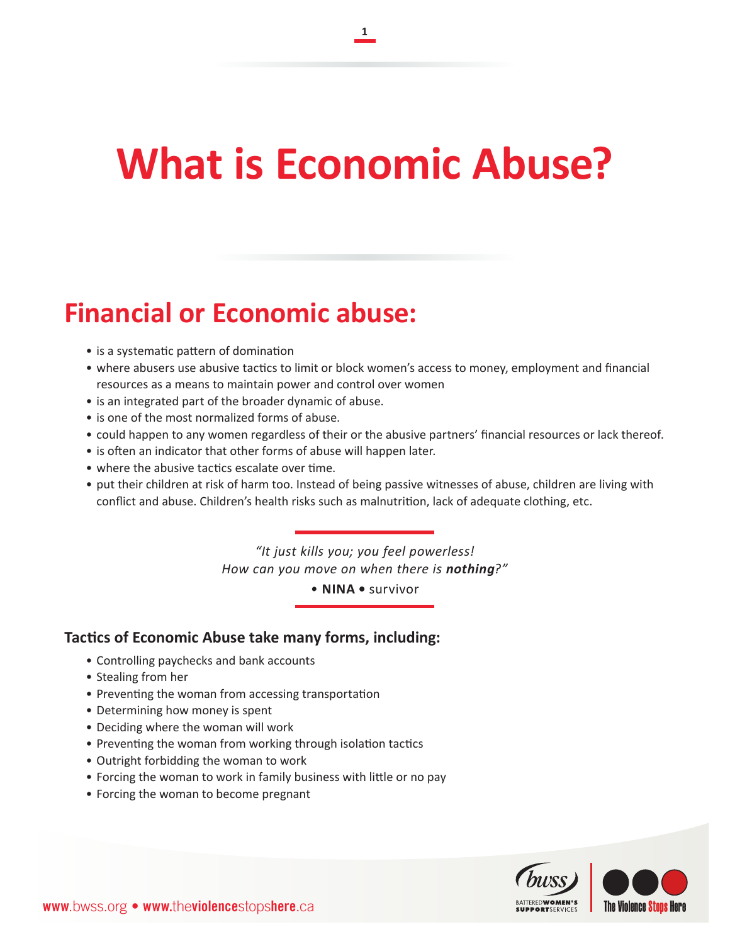# **What is Economic Abuse?**

**1**

## **Financial or Economic abuse:**

- is a systematic pattern of domination
- • where abusers use abusive tactics to limit or block women's access to money, employment and financial resources as a means to maintain power and control over women
- is an integrated part of the broader dynamic of abuse.
- is one of the most normalized forms of abuse.
- • could happen to any women regardless of their or the abusive partners' financial resources or lack thereof.
- is often an indicator that other forms of abuse will happen later.
- where the abusive tactics escalate over time.
- • put their children at risk of harm too. Instead of being passive witnesses of abuse, children are living with conflict and abuse. Children's health risks such as malnutrition, lack of adequate clothing, etc.

*"It just kills you; you feel powerless! How can you move on when there is nothing?"*

*•* **NINA •** survivor

#### **Tactics of Economic Abuse take many forms, including:**

- • Controlling paychecks and bank accounts
- • Stealing from her
- Preventing the woman from accessing transportation
- Determining how money is spent
- Deciding where the woman will work
- Preventing the woman from working through isolation tactics
- • Outright forbidding the woman to work
- Forcing the woman to work in family business with little or no pay
- Forcing the woman to become pregnant

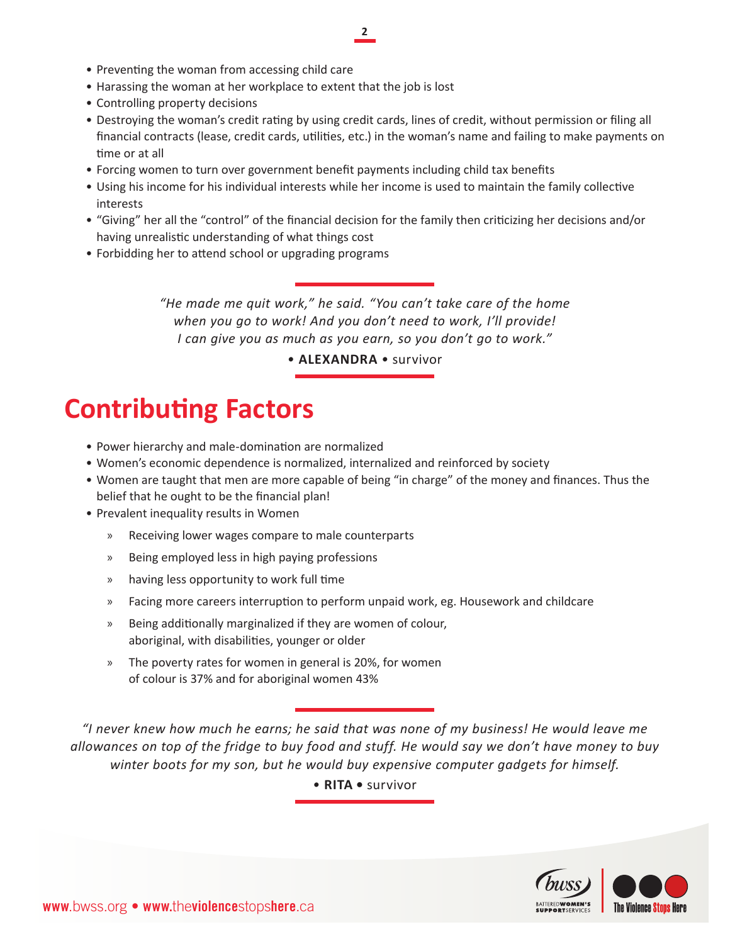#### **2**

- Preventing the woman from accessing child care
- Harassing the woman at her workplace to extent that the job is lost
- Controlling property decisions
- • Destroying the woman's credit rating by using credit cards, lines of credit, without permission or filing all financial contracts (lease, credit cards, utilities, etc.) in the woman's name and failing to make payments on time or at all
- • Forcing women to turn over government benefit payments including child tax benefits
- • Using his income for his individual interests while her income is used to maintain the family collective interests
- • "Giving" her all the "control" of the financial decision for the family then criticizing her decisions and/or having unrealistic understanding of what things cost
- Forbidding her to attend school or upgrading programs

*"He made me quit work," he said. "You can't take care of the home when you go to work! And you don't need to work, I'll provide! I can give you as much as you earn, so you don't go to work."* 

*•* **ALEXANDRA** *•* survivor

### **Contributing Factors**

- Power hierarchy and male-domination are normalized
- • Women's economic dependence is normalized, internalized and reinforced by society
- • Women are taught that men are more capable of being "in charge" of the money and finances. Thus the belief that he ought to be the financial plan!
- Prevalent inequality results in Women
	- » Receiving lower wages compare to male counterparts
	- » Being employed less in high paying professions
	- » having less opportunity to work full time
	- » Facing more careers interruption to perform unpaid work, eg. Housework and childcare
	- » Being additionally marginalized if they are women of colour, aboriginal, with disabilities, younger or older
	- » The poverty rates for women in general is 20%, for women of colour is 37% and for aboriginal women 43%

*"I never knew how much he earns; he said that was none of my business! He would leave me allowances on top of the fridge to buy food and stuff. He would say we don't have money to buy winter boots for my son, but he would buy expensive computer gadgets for himself.*

*•* **RITA •** survivor

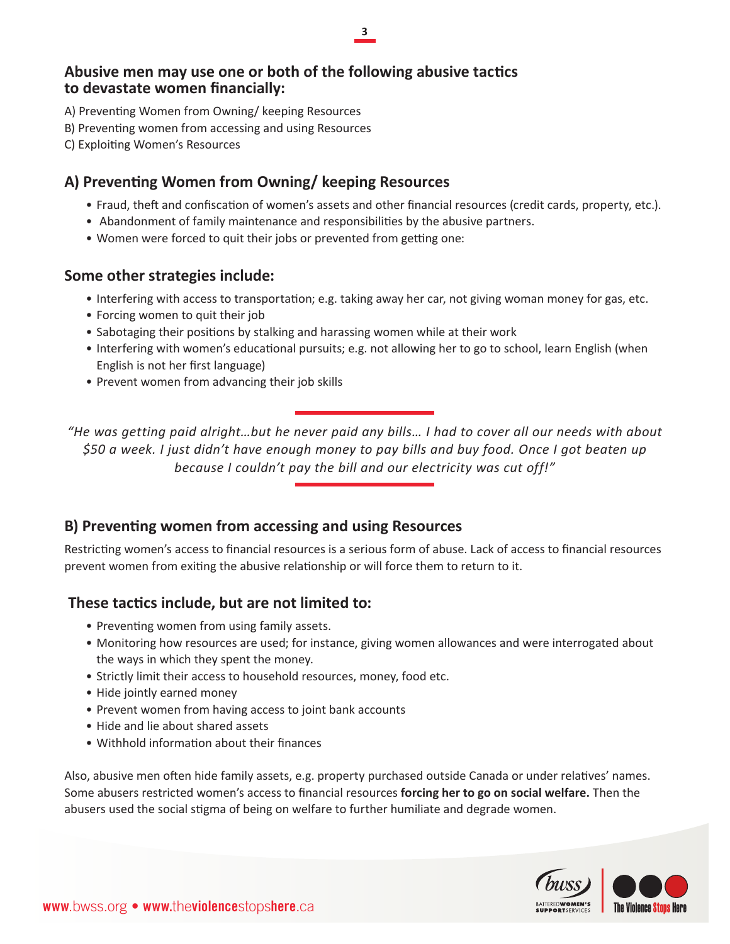#### **3**

#### **Abusive men may use one or both of the following abusive tactics to devastate women financially:**

- A) Preventing Women from Owning/ keeping Resources
- B) Preventing women from accessing and using Resources
- C) Exploiting Women's Resources

#### **A) Preventing Women from Owning/ keeping Resources**

- • Fraud, theft and confiscation of women's assets and other financial resources (credit cards, property, etc.).
- • Abandonment of family maintenance and responsibilities by the abusive partners.
- Women were forced to quit their jobs or prevented from getting one:

#### **Some other strategies include:**

- Interfering with access to transportation; e.g. taking away her car, not giving woman money for gas, etc.
- Forcing women to quit their job
- • Sabotaging their positions by stalking and harassing women while at their work
- Interfering with women's educational pursuits; e.g. not allowing her to go to school, learn English (when English is not her first language)
- Prevent women from advancing their job skills

*"He was getting paid alright…but he never paid any bills… I had to cover all our needs with about \$50 a week. I just didn't have enough money to pay bills and buy food. Once I got beaten up because I couldn't pay the bill and our electricity was cut off!"*

#### **B) Preventing women from accessing and using Resources**

Restricting women's access to financial resources is a serious form of abuse. Lack of access to financial resources prevent women from exiting the abusive relationship or will force them to return to it.

#### **These tactics include, but are not limited to:**

- Preventing women from using family assets.
- • Monitoring how resources are used; for instance, giving women allowances and were interrogated about the ways in which they spent the money.
- Strictly limit their access to household resources, money, food etc.
- Hide jointly earned money
- Prevent women from having access to joint bank accounts
- Hide and lie about shared assets
- Withhold information about their finances

Also, abusive men often hide family assets, e.g. property purchased outside Canada or under relatives' names. Some abusers restricted women's access to financial resources **forcing her to go on social welfare.** Then the abusers used the social stigma of being on welfare to further humiliate and degrade women.

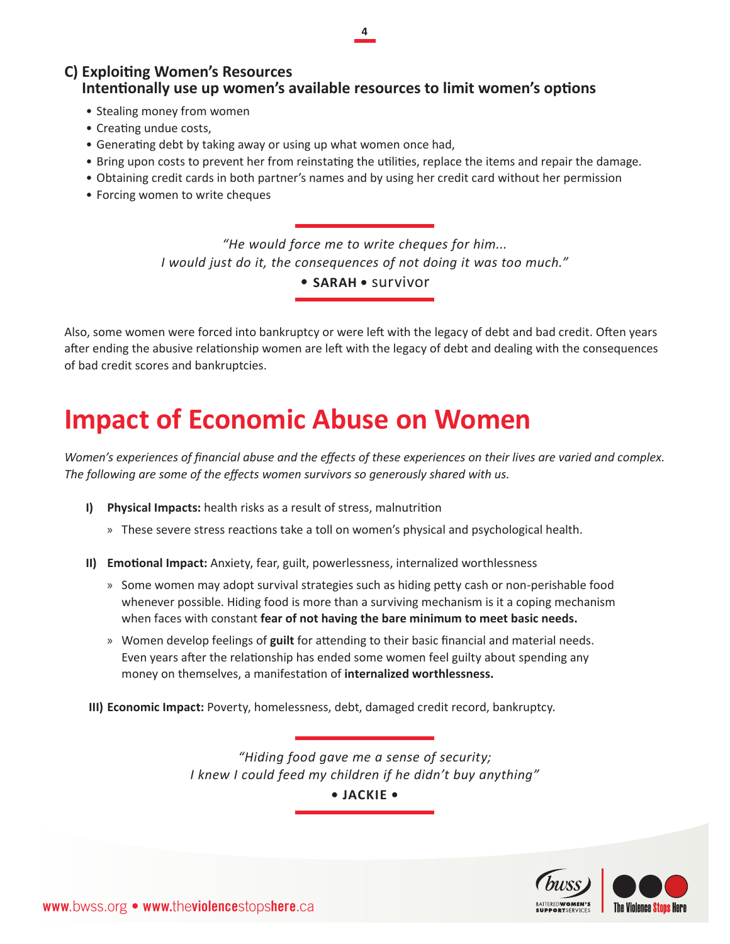**4**

#### **C) Exploiting Women's Resources Intentionally use up women's available resources to limit women's options**

- Stealing money from women
- Creating undue costs,
- Generating debt by taking away or using up what women once had,
- • Bring upon costs to prevent her from reinstating the utilities, replace the items and repair the damage.
- • Obtaining credit cards in both partner's names and by using her credit card without her permission
- Forcing women to write cheques

*"He would force me to write cheques for him... I would just do it, the consequences of not doing it was too much."*

*•* **SARAH •** survivor

Also, some women were forced into bankruptcy or were left with the legacy of debt and bad credit. Often years after ending the abusive relationship women are left with the legacy of debt and dealing with the consequences of bad credit scores and bankruptcies.

### **Impact of Economic Abuse on Women**

*Women's experiences of financial abuse and the effects of these experiences on their lives are varied and complex. The following are some of the effects women survivors so generously shared with us.*

- **I) Physical Impacts:** health risks as a result of stress, malnutrition
	- » These severe stress reactions take a toll on women's physical and psychological health.
- **II) Emotional Impact:** Anxiety, fear, guilt, powerlessness, internalized worthlessness
	- » Some women may adopt survival strategies such as hiding petty cash or non-perishable food whenever possible. Hiding food is more than a surviving mechanism is it a coping mechanism when faces with constant **fear of not having the bare minimum to meet basic needs.**
	- » Women develop feelings of **guilt** for attending to their basic financial and material needs. Even years after the relationship has ended some women feel guilty about spending any money on themselves, a manifestation of **internalized worthlessness.**
- **III) Economic Impact:** Poverty, homelessness, debt, damaged credit record, bankruptcy.

*"Hiding food gave me a sense of security; I knew I could feed my children if he didn't buy anything"* 

**• JACKIE •**